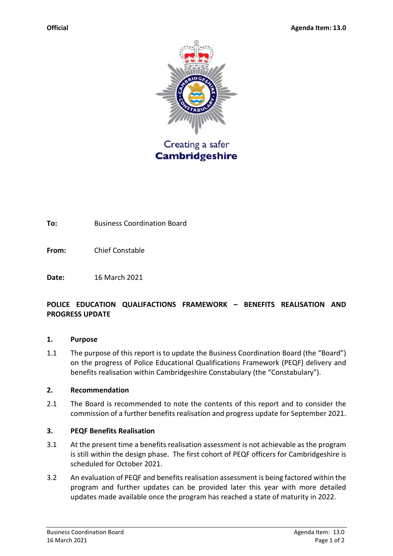

**To:** Business Coordination Board

**From:** Chief Constable

**Date:** 16 March 2021

# **POLICE EDUCATION QUALIFACTIONS FRAMEWORK – BENEFITS REALISATION AND PROGRESS UPDATE**

### **1. Purpose**

1.1 The purpose of this report is to update the Business Coordination Board (the "Board") on the progress of Police Educational Qualifications Framework (PEQF) delivery and benefits realisation within Cambridgeshire Constabulary (the "Constabulary").

## **2. Recommendation**

2.1 The Board is recommended to note the contents of this report and to consider the commission of a further benefits realisation and progress update for September 2021.

## **3. PEQF Benefits Realisation**

- 3.1 At the present time a benefits realisation assessment is not achievable as the program is still within the design phase. The first cohort of PEQF officers for Cambridgeshire is scheduled for October 2021.
- 3.2 An evaluation of PEQF and benefits realisation assessment is being factored within the program and further updates can be provided later this year with more detailed updates made available once the program has reached a state of maturity in 2022.